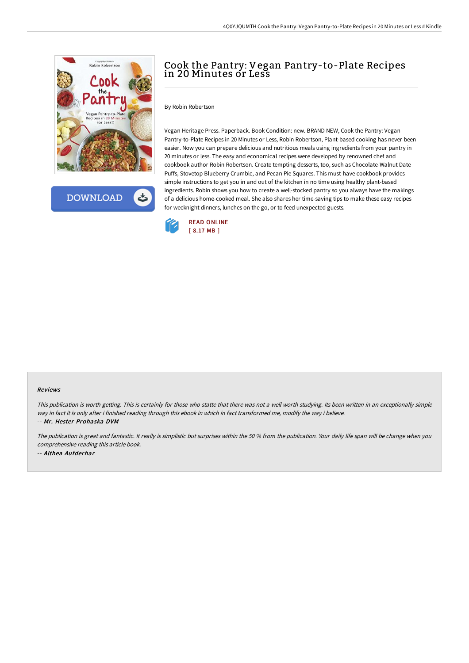

**DOWNLOAD** 

# Cook the Pantry: Vegan Pantry-to-Plate Recipes in 20 Minutes or Less

By Robin Robertson

Vegan Heritage Press. Paperback. Book Condition: new. BRAND NEW, Cook the Pantry: Vegan Pantry-to-Plate Recipes in 20 Minutes or Less, Robin Robertson, Plant-based cooking has never been easier. Now you can prepare delicious and nutritious meals using ingredients from your pantry in 20 minutes or less. The easy and economical recipes were developed by renowned chef and cookbook author Robin Robertson. Create tempting desserts, too, such as Chocolate-Walnut Date Puffs, Stovetop Blueberry Crumble, and Pecan Pie Squares. This must-have cookbook provides simple instructions to get you in and out of the kitchen in no time using healthy plant-based ingredients. Robin shows you how to create a well-stocked pantry so you always have the makings of a delicious home-cooked meal. She also shares her time-saving tips to make these easy recipes for weeknight dinners, lunches on the go, or to feed unexpected guests.



#### Reviews

This publication is worth getting. This is certainly for those who statte that there was not <sup>a</sup> well worth studying. Its been written in an exceptionally simple way in fact it is only after i finished reading through this ebook in which in fact transformed me, modify the way i believe. -- Mr. Hester Prohaska DVM

The publication is great and fantastic. It really is simplistic but surprises within the <sup>50</sup> % from the publication. Your daily life span will be change when you comprehensive reading this article book. -- Althea Aufderhar